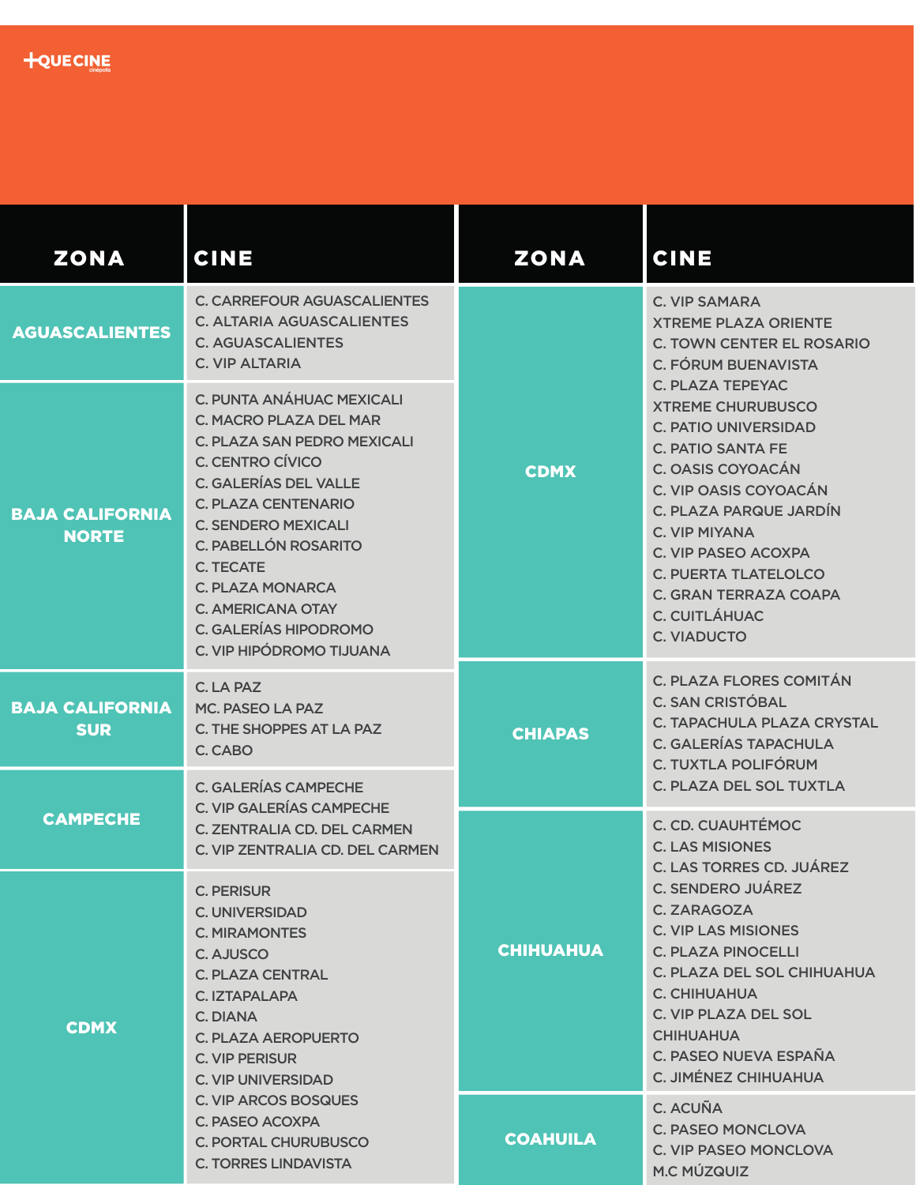

| <b>ZONA</b>                            | <b>CINE</b>                                                                                                                                                                                                                                                                                                                                                | <b>ZONA</b>      | <b>CINE</b>                                                                                                                                                                                                                                                                                                                                                                                                                                                   |
|----------------------------------------|------------------------------------------------------------------------------------------------------------------------------------------------------------------------------------------------------------------------------------------------------------------------------------------------------------------------------------------------------------|------------------|---------------------------------------------------------------------------------------------------------------------------------------------------------------------------------------------------------------------------------------------------------------------------------------------------------------------------------------------------------------------------------------------------------------------------------------------------------------|
| <b>AGUASCALIENTES</b>                  | <b>C. CARREFOUR AGUASCALIENTES</b><br><b>C. ALTARIA AGUASCALIENTES</b><br><b>C. AGUASCALIENTES</b><br><b>C. VIP ALTARIA</b>                                                                                                                                                                                                                                | <b>CDMX</b>      | <b>C. VIP SAMARA</b><br><b>XTREME PLAZA ORIENTE</b><br><b>C. TOWN CENTER EL ROSARIO</b><br><b>C. FÓRUM BUENAVISTA</b><br><b>C. PLAZA TEPEYAC</b><br><b>XTREME CHURUBUSCO</b><br><b>C. PATIO UNIVERSIDAD</b><br><b>C. PATIO SANTA FE</b><br>C. OASIS COYOACÁN<br>C. VIP OASIS COYOACÁN<br>C. PLAZA PARQUE JARDÍN<br>C. VIP MIYANA<br>C. VIP PASEO ACOXPA<br><b>C. PUERTA TLATELOLCO</b><br>C. GRAN TERRAZA COAPA<br><b>C. CUITLÁHUAC</b><br><b>C. VIADUCTO</b> |
| <b>BAJA CALIFORNIA</b><br><b>NORTE</b> | C. PUNTA ANÁHUAC MEXICALI<br>C. MACRO PLAZA DEL MAR<br>C. PLAZA SAN PEDRO MEXICALI<br>C. CENTRO CÍVICO<br><b>C. GALERÍAS DEL VALLE</b><br><b>C. PLAZA CENTENARIO</b><br><b>C. SENDERO MEXICALI</b><br>C. PABELLÓN ROSARITO<br><b>C. TECATE</b><br><b>C. PLAZA MONARCA</b><br><b>C. AMERICANA OTAY</b><br>C. GALERÍAS HIPODROMO<br>C. VIP HIPÓDROMO TIJUANA |                  |                                                                                                                                                                                                                                                                                                                                                                                                                                                               |
| <b>BAJA CALIFORNIA</b><br><b>SUR</b>   | C. LA PAZ<br>MC. PASEO LA PAZ<br>C. THE SHOPPES AT LA PAZ<br>C. CABO                                                                                                                                                                                                                                                                                       | <b>CHIAPAS</b>   | C. PLAZA FLORES COMITÁN<br><b>C. SAN CRISTÓBAL</b><br>C. TAPACHULA PLAZA CRYSTAL<br><b>C. GALERÍAS TAPACHULA</b><br>C. TUXTLA POLIFÓRUM                                                                                                                                                                                                                                                                                                                       |
| <b>CAMPECHE</b>                        | C. GALERÍAS CAMPECHE<br>C. VIP GALERÍAS CAMPECHE<br>C. ZENTRALIA CD. DEL CARMEN<br>C. VIP ZENTRALIA CD. DEL CARMEN                                                                                                                                                                                                                                         | <b>CHIHUAHUA</b> | C. PLAZA DEL SOL TUXTLA<br>C. CD. CUAUHTÉMOC<br><b>C. LAS MISIONES</b><br>C. LAS TORRES CD. JUÁREZ<br><b>C. SENDERO JUÁREZ</b><br>C. ZARAGOZA<br><b>C. VIP LAS MISIONES</b><br><b>C. PLAZA PINOCELLI</b><br>C. PLAZA DEL SOL CHIHUAHUA<br>C. CHIHUAHUA<br>C. VIP PLAZA DEL SOL<br><b>CHIHUAHUA</b><br>C. PASEO NUEVA ESPAÑA<br>C. JIMÉNEZ CHIHUAHUA                                                                                                           |
| <b>CDMX</b>                            | <b>C. PERISUR</b><br><b>C. UNIVERSIDAD</b><br><b>C. MIRAMONTES</b><br>C. AJUSCO<br><b>C. PLAZA CENTRAL</b><br>C. IZTAPALAPA<br>C. DIANA<br>C. PLAZA AEROPUERTO<br><b>C. VIP PERISUR</b><br><b>C. VIP UNIVERSIDAD</b><br><b>C. VIP ARCOS BOSQUES</b><br>C. PASEO ACOXPA<br><b>C. PORTAL CHURUBUSCO</b><br><b>C. TORRES LINDAVISTA</b>                       |                  |                                                                                                                                                                                                                                                                                                                                                                                                                                                               |
|                                        |                                                                                                                                                                                                                                                                                                                                                            | <b>COAHUILA</b>  | C. ACUÑA<br><b>C. PASEO MONCLOVA</b><br><b>C. VIP PASEO MONCLOVA</b><br>M.C MÚZQUIZ                                                                                                                                                                                                                                                                                                                                                                           |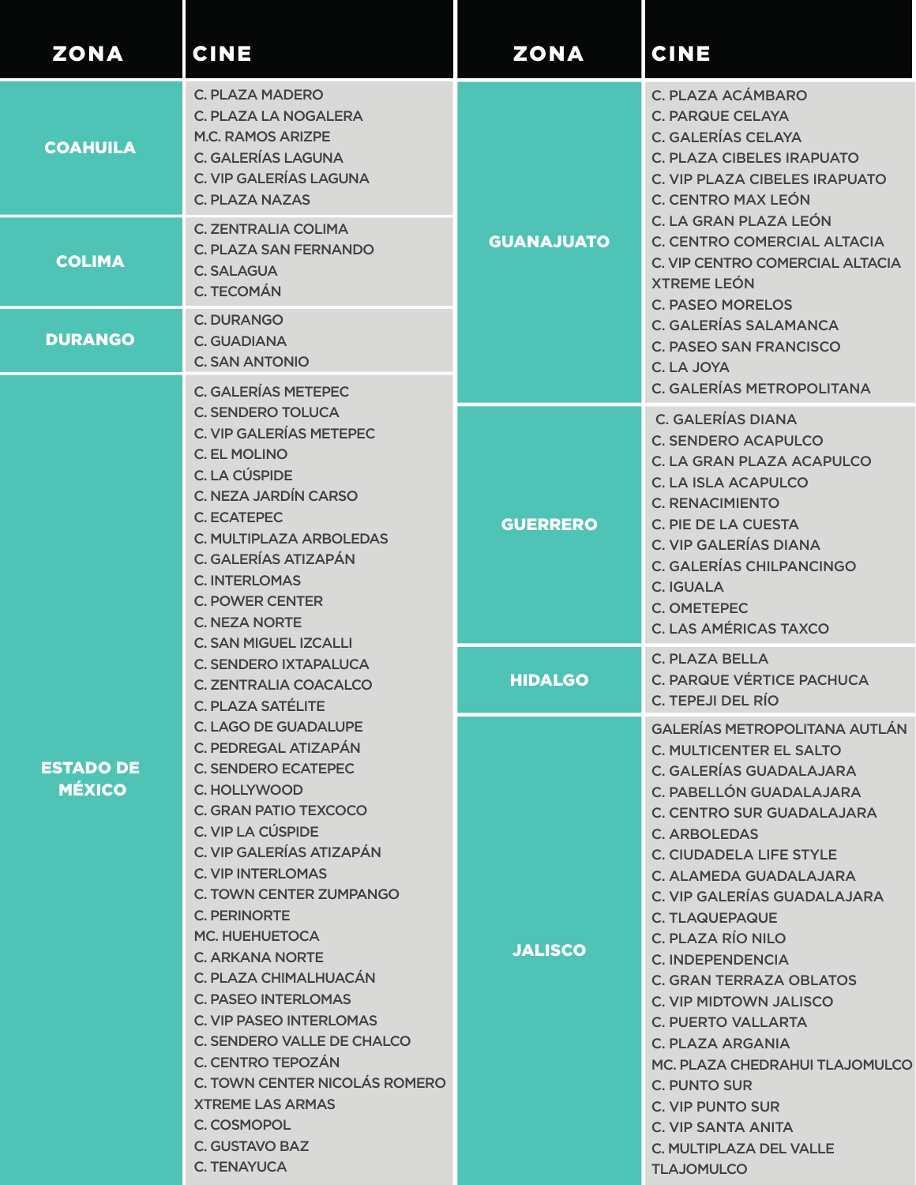| <b>ZONA</b>                                                                                                                                                                                                                                                                                                                                                                                   | <b>CINE</b>                                                                                                                                                                                                                                                                                                                                                                                                                                                                                                                                                                                             | <b>ZONA</b>                                                                                                                                                                                                                                                                                       | <b>CINE</b>                                                                                                                                                                                                                                                                                                                                                                                                                                                                                                                                                                                                                                      |
|-----------------------------------------------------------------------------------------------------------------------------------------------------------------------------------------------------------------------------------------------------------------------------------------------------------------------------------------------------------------------------------------------|---------------------------------------------------------------------------------------------------------------------------------------------------------------------------------------------------------------------------------------------------------------------------------------------------------------------------------------------------------------------------------------------------------------------------------------------------------------------------------------------------------------------------------------------------------------------------------------------------------|---------------------------------------------------------------------------------------------------------------------------------------------------------------------------------------------------------------------------------------------------------------------------------------------------|--------------------------------------------------------------------------------------------------------------------------------------------------------------------------------------------------------------------------------------------------------------------------------------------------------------------------------------------------------------------------------------------------------------------------------------------------------------------------------------------------------------------------------------------------------------------------------------------------------------------------------------------------|
| <b>COAHUILA</b>                                                                                                                                                                                                                                                                                                                                                                               | <b>C. PLAZA MADERO</b><br><b>C. PLAZA LA NOGALERA</b><br><b>M.C. RAMOS ARIZPE</b><br><b>C. GALERÍAS LAGUNA</b><br>C. VIP GALERÍAS LAGUNA<br><b>C. PLAZA NAZAS</b>                                                                                                                                                                                                                                                                                                                                                                                                                                       | <b>GUANAJUATO</b>                                                                                                                                                                                                                                                                                 | C. PLAZA ACÁMBARO<br><b>C. PARQUE CELAYA</b><br><b>C. GALERÍAS CELAYA</b><br><b>C. PLAZA CIBELES IRAPUATO</b><br><b>C. VIP PLAZA CIBELES IRAPUATO</b><br><b>C. CENTRO MAX LEÓN</b><br>C. LA GRAN PLAZA LEÓN<br>C. CENTRO COMERCIAL ALTACIA<br>C. VIP CENTRO COMERCIAL ALTACIA<br><b>XTREME LEÓN</b><br><b>C. PASEO MORELOS</b><br>C. GALERÍAS SALAMANCA<br><b>C. PASEO SAN FRANCISCO</b><br>C. LA JOYA<br>C. GALERÍAS METROPOLITANA                                                                                                                                                                                                              |
| <b>COLIMA</b>                                                                                                                                                                                                                                                                                                                                                                                 | <b>C. ZENTRALIA COLIMA</b><br><b>C. PLAZA SAN FERNANDO</b><br><b>C. SALAGUA</b><br>C. TECOMÁN                                                                                                                                                                                                                                                                                                                                                                                                                                                                                                           |                                                                                                                                                                                                                                                                                                   |                                                                                                                                                                                                                                                                                                                                                                                                                                                                                                                                                                                                                                                  |
| <b>DURANGO</b>                                                                                                                                                                                                                                                                                                                                                                                | <b>C. DURANGO</b><br>C. GUADIANA<br><b>C. SAN ANTONIO</b>                                                                                                                                                                                                                                                                                                                                                                                                                                                                                                                                               |                                                                                                                                                                                                                                                                                                   |                                                                                                                                                                                                                                                                                                                                                                                                                                                                                                                                                                                                                                                  |
| <b>C. GALERÍAS METEPEC</b><br><b>C. SENDERO TOLUCA</b><br><b>C. VIP GALERÍAS METEPEC</b><br>C. EL MOLINO<br>C. LA CÚSPIDE<br>C. NEZA JARDÍN CARSO<br><b>C. ECATEPEC</b><br>C. MULTIPLAZA ARBOLEDAS<br>C. GALERÍAS ATIZAPÁN<br><b>C. INTERLOMAS</b><br><b>C. POWER CENTER</b><br><b>C. NEZA NORTE</b><br><b>C. SAN MIGUEL IZCALLI</b><br><b>C. SENDERO IXTAPALUCA</b><br>C. ZENTRALIA COACALCO | <b>GUERRERO</b>                                                                                                                                                                                                                                                                                                                                                                                                                                                                                                                                                                                         | <b>C. GALERÍAS DIANA</b><br><b>C. SENDERO ACAPULCO</b><br>C. LA GRAN PLAZA ACAPULCO<br><b>C. LA ISLA ACAPULCO</b><br><b>C. RENACIMIENTO</b><br>C. PIE DE LA CUESTA<br><b>C. VIP GALERÍAS DIANA</b><br>C. GALERÍAS CHILPANCINGO<br><b>C. IGUALA</b><br>C. OMETEPEC<br><b>C. LAS AMÉRICAS TAXCO</b> |                                                                                                                                                                                                                                                                                                                                                                                                                                                                                                                                                                                                                                                  |
|                                                                                                                                                                                                                                                                                                                                                                                               | C. PLAZA SATÉLITE<br><b>C. LAGO DE GUADALUPE</b><br>C. PEDREGAL ATIZAPÁN<br><b>C. SENDERO ECATEPEC</b><br>C. HOLLYWOOD<br>C. GRAN PATIO TEXCOCO<br>C. VIP LA CÚSPIDE<br>C. VIP GALERÍAS ATIZAPÁN<br><b>C. VIP INTERLOMAS</b><br><b>C. TOWN CENTER ZUMPANGO</b><br><b>C. PERINORTE</b><br><b>MC. HUEHUETOCA</b><br>C. ARKANA NORTE<br>C. PLAZA CHIMALHUACÁN<br><b>C. PASEO INTERLOMAS</b><br><b>C. VIP PASEO INTERLOMAS</b><br>C. SENDERO VALLE DE CHALCO<br>C. CENTRO TEPOZÁN<br>C. TOWN CENTER NICOLÁS ROMERO<br><b>XTREME LAS ARMAS</b><br>C. COSMOPOL<br><b>C. GUSTAVO BAZ</b><br><b>C. TENAYUCA</b> | <b>HIDALGO</b>                                                                                                                                                                                                                                                                                    | <b>C. PLAZA BELLA</b><br>C. PARQUE VÉRTICE PACHUCA<br>C. TEPEJI DEL RÍO                                                                                                                                                                                                                                                                                                                                                                                                                                                                                                                                                                          |
| <b>ESTADO DE</b><br><b>MÉXICO</b>                                                                                                                                                                                                                                                                                                                                                             |                                                                                                                                                                                                                                                                                                                                                                                                                                                                                                                                                                                                         | <b>JALISCO</b>                                                                                                                                                                                                                                                                                    | <b>GALERÍAS METROPOLITANA AUTLÁN</b><br><b>C. MULTICENTER EL SALTO</b><br>C. GALERÍAS GUADALAJARA<br>C. PABELLÓN GUADALAJARA<br><b>C. CENTRO SUR GUADALAJARA</b><br><b>C. ARBOLEDAS</b><br><b>C. CIUDADELA LIFE STYLE</b><br>C. ALAMEDA GUADALAJARA<br>C. VIP GALERÍAS GUADALAJARA<br><b>C. TLAQUEPAQUE</b><br>C. PLAZA RÍO NILO<br>C. INDEPENDENCIA<br><b>C. GRAN TERRAZA OBLATOS</b><br><b>C. VIP MIDTOWN JALISCO</b><br><b>C. PUERTO VALLARTA</b><br><b>C. PLAZA ARGANIA</b><br>MC. PLAZA CHEDRAHUI TLAJOMULCO<br><b>C. PUNTO SUR</b><br><b>C. VIP PUNTO SUR</b><br><b>C. VIP SANTA ANITA</b><br>C. MULTIPLAZA DEL VALLE<br><b>TLAJOMULCO</b> |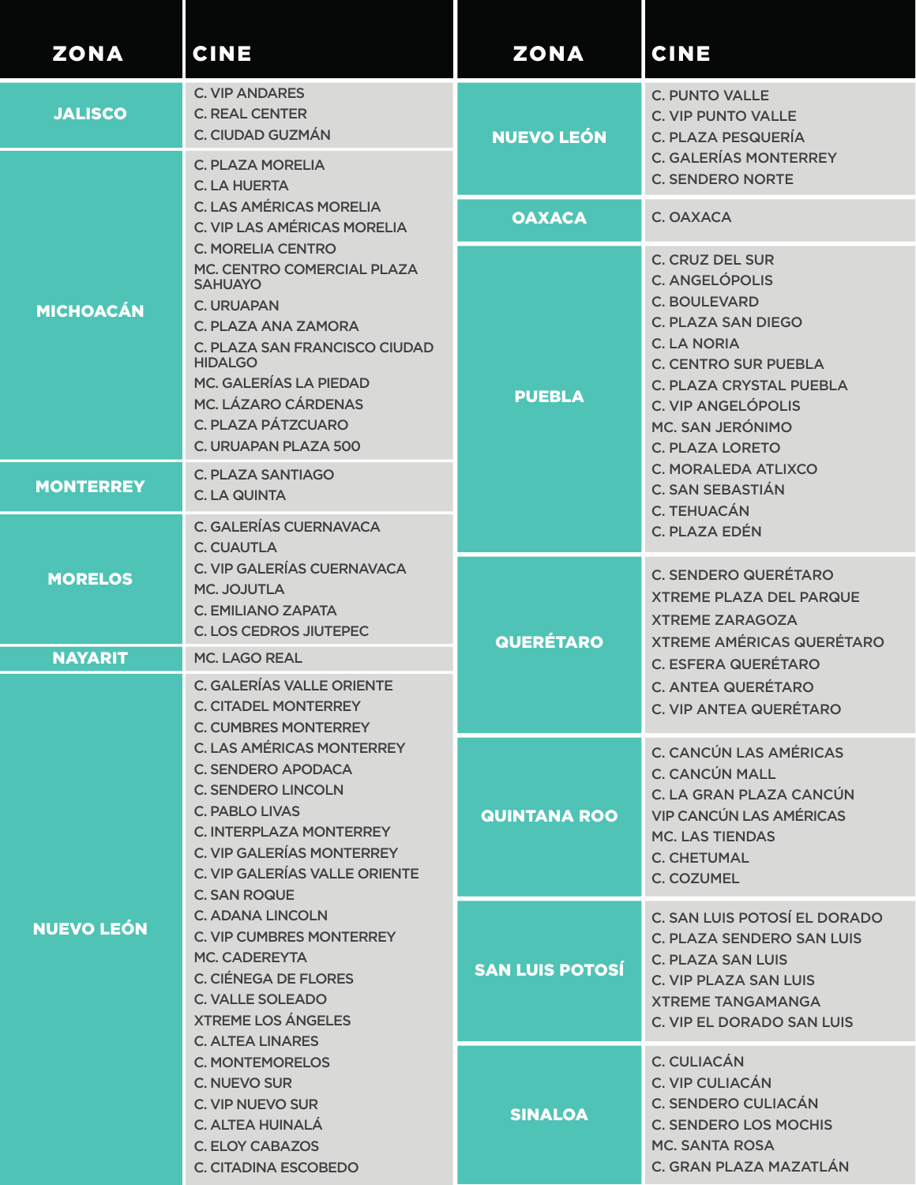| <b>ZONA</b>       | <b>CINE</b>                                                                                                                                                                                                                                                                                                                                                                                                                                                                                                                                                                                                 | <b>ZONA</b>            | <b>CINE</b>                                                                                                                                                                                                                                                                                                                                                           |
|-------------------|-------------------------------------------------------------------------------------------------------------------------------------------------------------------------------------------------------------------------------------------------------------------------------------------------------------------------------------------------------------------------------------------------------------------------------------------------------------------------------------------------------------------------------------------------------------------------------------------------------------|------------------------|-----------------------------------------------------------------------------------------------------------------------------------------------------------------------------------------------------------------------------------------------------------------------------------------------------------------------------------------------------------------------|
| <b>JALISCO</b>    | <b>C. VIP ANDARES</b><br><b>C. REAL CENTER</b><br>C. CIUDAD GUZMÁN<br><b>C. PLAZA MORELIA</b><br><b>C. LA HUERTA</b>                                                                                                                                                                                                                                                                                                                                                                                                                                                                                        | <b>NUEVO LEÓN</b>      | <b>C. PUNTO VALLE</b><br><b>C. VIP PUNTO VALLE</b><br>C. PLAZA PESQUERÍA<br><b>C. GALERÍAS MONTERREY</b><br><b>C. SENDERO NORTE</b>                                                                                                                                                                                                                                   |
|                   | <b>C. LAS AMÉRICAS MORELIA</b><br>C. VIP LAS AMÉRICAS MORELIA<br><b>C. MORELIA CENTRO</b><br>MC. CENTRO COMERCIAL PLAZA<br><b>SAHUAYO</b><br><b>C. URUAPAN</b><br>C. PLAZA ANA ZAMORA<br>C. PLAZA SAN FRANCISCO CIUDAD<br><b>HIDALGO</b><br>MC. GALERÍAS LA PIEDAD<br><b>MC. LÁZARO CÁRDENAS</b><br>C. PLAZA PÁTZCUARO<br>C. URUAPAN PLAZA 500                                                                                                                                                                                                                                                              | <b>OAXACA</b>          | C. OAXACA                                                                                                                                                                                                                                                                                                                                                             |
| <b>MICHOACÁN</b>  |                                                                                                                                                                                                                                                                                                                                                                                                                                                                                                                                                                                                             | <b>PUEBLA</b>          | <b>C. CRUZ DEL SUR</b><br><b>C. ANGELÓPOLIS</b><br><b>C. BOULEVARD</b><br><b>C. PLAZA SAN DIEGO</b><br><b>C. LA NORIA</b><br><b>C. CENTRO SUR PUEBLA</b><br>C. PLAZA CRYSTAL PUEBLA<br><b>C. VIP ANGELÓPOLIS</b><br>MC. SAN JERÓNIMO<br><b>C. PLAZA LORETO</b><br><b>C. MORALEDA ATLIXCO</b><br><b>C. SAN SEBASTIÁN</b><br><b>C. TEHUACÁN</b><br><b>C. PLAZA EDÉN</b> |
| <b>MONTERREY</b>  | <b>C. PLAZA SANTIAGO</b><br><b>C. LA QUINTA</b><br>C. GALERÍAS CUERNAVACA                                                                                                                                                                                                                                                                                                                                                                                                                                                                                                                                   |                        |                                                                                                                                                                                                                                                                                                                                                                       |
| <b>MORELOS</b>    | C. CUAUTLA<br>C. VIP GALERÍAS CUERNAVACA<br>MC. JOJUTLA<br>C. EMILIANO ZAPATA<br><b>C. LOS CEDROS JIUTEPEC</b>                                                                                                                                                                                                                                                                                                                                                                                                                                                                                              | <b>QUERÉTARO</b>       | <b>C. SENDERO QUERÉTARO</b><br><b>XTREME PLAZA DEL PARQUE</b><br><b>XTREME ZARAGOZA</b><br><b>XTREME AMÉRICAS QUERÉTARO</b><br><b>C. ESFERA QUERÉTARO</b><br><b>C. ANTEA QUERÉTARO</b><br><b>C. VIP ANTEA QUERÉTARO</b>                                                                                                                                               |
| <b>NAYARIT</b>    | <b>MC. LAGO REAL</b>                                                                                                                                                                                                                                                                                                                                                                                                                                                                                                                                                                                        |                        |                                                                                                                                                                                                                                                                                                                                                                       |
|                   | <b>C. GALERÍAS VALLE ORIENTE</b><br><b>C. CITADEL MONTERREY</b><br><b>C. CUMBRES MONTERREY</b>                                                                                                                                                                                                                                                                                                                                                                                                                                                                                                              |                        |                                                                                                                                                                                                                                                                                                                                                                       |
| <b>NUEVO LEÓN</b> | <b>C. LAS AMÉRICAS MONTERREY</b><br><b>C. SENDERO APODACA</b><br><b>C. SENDERO LINCOLN</b><br><b>C. PABLO LIVAS</b><br><b>C. INTERPLAZA MONTERREY</b><br><b>C. VIP GALERÍAS MONTERREY</b><br>C. VIP GALERÍAS VALLE ORIENTE<br><b>C. SAN ROQUE</b><br><b>C. ADANA LINCOLN</b><br><b>C. VIP CUMBRES MONTERREY</b><br><b>MC. CADEREYTA</b><br><b>C. CIÉNEGA DE FLORES</b><br><b>C. VALLE SOLEADO</b><br><b>XTREME LOS ÁNGELES</b><br><b>C. ALTEA LINARES</b><br><b>C. MONTEMORELOS</b><br><b>C. NUEVO SUR</b><br>C. VIP NUEVO SUR<br>C. ALTEA HUINALÁ<br><b>C. ELOY CABAZOS</b><br><b>C. CITADINA ESCOBEDO</b> | <b>QUINTANA ROO</b>    | <b>C. CANCÚN LAS AMÉRICAS</b><br><b>C. CANCÚN MALL</b><br>C. LA GRAN PLAZA CANCÚN<br><b>VIP CANCÚN LAS AMÉRICAS</b><br><b>MC. LAS TIENDAS</b><br><b>C. CHETUMAL</b><br>C. COZUMEL                                                                                                                                                                                     |
|                   |                                                                                                                                                                                                                                                                                                                                                                                                                                                                                                                                                                                                             | <b>SAN LUIS POTOSÍ</b> | C. SAN LUIS POTOSÍ EL DORADO<br><b>C. PLAZA SENDERO SAN LUIS</b><br>C. PLAZA SAN LUIS<br><b>C. VIP PLAZA SAN LUIS</b><br><b>XTREME TANGAMANGA</b><br><b>C. VIP EL DORADO SAN LUIS</b>                                                                                                                                                                                 |
|                   |                                                                                                                                                                                                                                                                                                                                                                                                                                                                                                                                                                                                             | <b>SINALOA</b>         | C. CULIACÁN<br>C. VIP CULIACÁN<br><b>C. SENDERO CULIACÁN</b><br><b>C. SENDERO LOS MOCHIS</b><br><b>MC. SANTA ROSA</b><br>C. GRAN PLAZA MAZATLÁN                                                                                                                                                                                                                       |